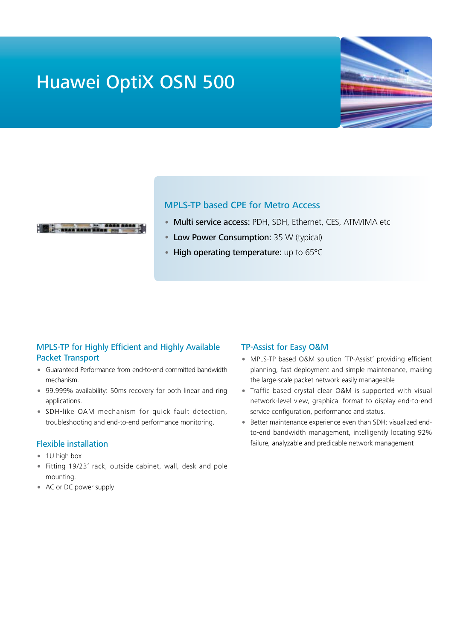# Huawei OptiX OSN 500





## MPLS-TP based CPE for Metro Access

- Multi service access: PDH, SDH, Ethernet, CES, ATM/IMA etc
- Low Power Consumption: 35 W (typical)
- High operating temperature: up to 65°C

## MPLS-TP for Highly Efficient and Highly Available Packet Transport

- Guaranteed Performance from end-to-end committed bandwidth mechanism.
- 99.999% availability: 50ms recovery for both linear and ring applications.
- SDH-like OAM mechanism for quick fault detection, troubleshooting and end-to-end performance monitoring.

### Flexible installation

- 1U high box
- Fitting 19/23' rack, outside cabinet, wall, desk and pole mounting.
- AC or DC power supply

### TP-Assist for Easy O&M

- MPLS-TP based O&M solution 'TP-Assist' providing efficient planning, fast deployment and simple maintenance, making the large-scale packet network easily manageable
- Traffic based crystal clear O&M is supported with visual network-level view, graphical format to display end-to-end service configuration, performance and status.
- Better maintenance experience even than SDH: visualized endto-end bandwidth management, intelligently locating 92% failure, analyzable and predicable network management